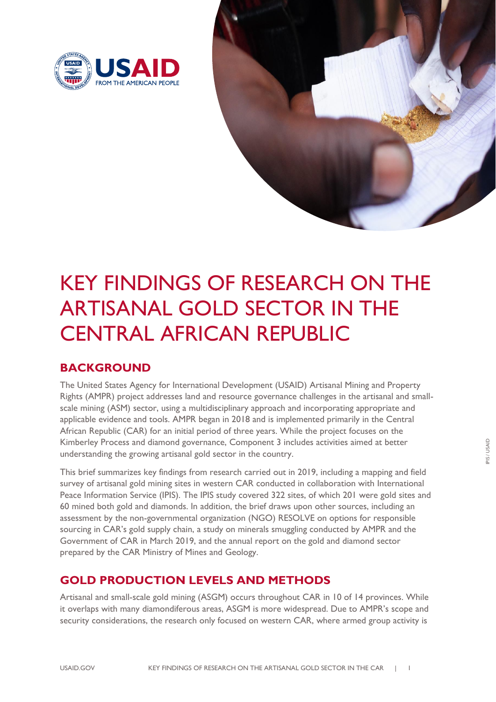



# KEY FINDINGS OF RESEARCH ON THE ARTISANAL GOLD SECTOR IN THE CENTRAL AFRICAN REPUBLIC

# **BACKGROUND**

The United States Agency for International Development (USAID) Artisanal Mining and Property Rights (AMPR) project addresses land and resource governance challenges in the artisanal and smallscale mining (ASM) sector, using a multidisciplinary approach and incorporating appropriate and applicable evidence and tools. AMPR began in 2018 and is implemented primarily in the Central African Republic (CAR) for an initial period of three years. While the project focuses on the Kimberley Process and diamond governance, Component 3 includes activities aimed at better understanding the growing artisanal gold sector in the country.

This brief summarizes key findings from research carried out in 2019, including a mapping and field survey of artisanal gold mining sites in western CAR conducted in collaboration with International Peace Information Service (IPIS). The IPIS study covered 322 sites, of which 201 were gold sites and 60 mined both gold and diamonds. In addition, the brief draws upon other sources, including an assessment by the non-governmental organization (NGO) RESOLVE on options for responsible sourcing in CAR's gold supply chain, a study on minerals smuggling conducted by AMPR and the Government of CAR in March 2019, and the annual report on the gold and diamond sector prepared by the CAR Ministry of Mines and Geology.

# **GOLD PRODUCTION LEVELS AND METHODS**

Artisanal and small-scale gold mining (ASGM) occurs throughout CAR in 10 of 14 provinces. While it overlaps with many diamondiferous areas, ASGM is more widespread. Due to AMPR's scope and security considerations, the research only focused on western CAR, where armed group activity is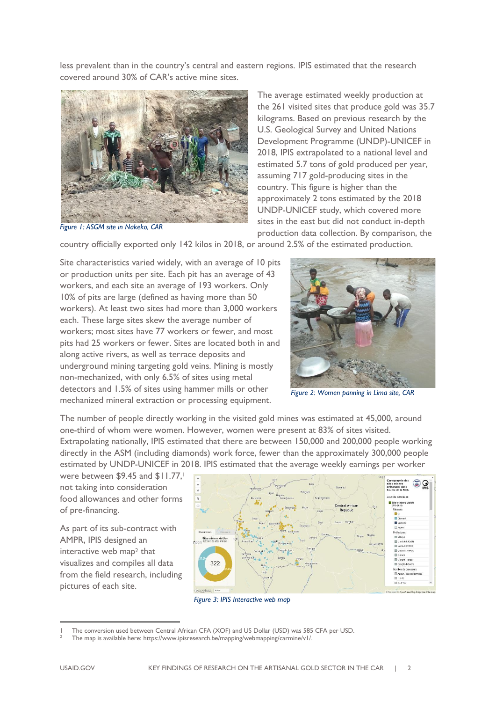less prevalent than in the country's central and eastern regions. IPIS estimated that the research covered around 30% of CAR's active mine sites.



*Figure 1: ASGM site in Nakeko, CAR*

The average estimated weekly production at the 261 visited sites that produce gold was 35.7 kilograms. Based on previous research by the U.S. Geological Survey and United Nations Development Programme (UNDP)-UNICEF in 2018, IPIS extrapolated to a national level and estimated 5.7 tons of gold produced per year, assuming 717 gold-producing sites in the country. This figure is higher than the approximately 2 tons estimated by the 2018 UNDP-UNICEF study, which covered more sites in the east but did not conduct in-depth production data collection. By comparison, the

country officially exported only 142 kilos in 2018, or around 2.5% of the estimated production.

Site characteristics varied widely, with an average of 10 pits or production units per site. Each pit has an average of 43 workers, and each site an average of 193 workers. Only 10% of pits are large (defined as having more than 50 workers). At least two sites had more than 3,000 workers each. These large sites skew the average number of workers; most sites have 77 workers or fewer, and most pits had 25 workers or fewer. Sites are located both in and along active rivers, as well as terrace deposits and underground mining targeting gold veins. Mining is mostly non-mechanized, with only 6.5% of sites using metal detectors and 1.5% of sites using hammer mills or other mechanized mineral extraction or processing equipment.



*Figure 2: Women panning in Lima site, CAR*

The number of people directly working in the visited gold mines was estimated at 45,000, around one-third of whom were women. However, women were present at 83% of sites visited. Extrapolating nationally, IPIS estimated that there are between 150,000 and 200,000 people working directly in the ASM (including diamonds) work force, fewer than the approximately 300,000 people estimated by UNDP-UNICEF in 2018. IPIS estimated that the average weekly earnings per worker

were between \$9.45 and \$11.77, not taking into consideration food allowances and other forms of pre-financing.

As part of its sub-contract with AMPR, IPIS designed an interactive web map<sup>2</sup> that visualizes and compiles all data from the field research, including pictures of each site.



*Figure 3: IPIS Interactive web map*

<sup>1</sup> The conversion used between Central African CFA (XOF) and US Dollar (USD) was 585 CFA per USD.

<sup>2</sup> The map is available here: [https://www.ipisresearch.be/mapping/webmapping/carmine/v1/.](https://www.ipisresearch.be/mapping/webmapping/carmine/v1/)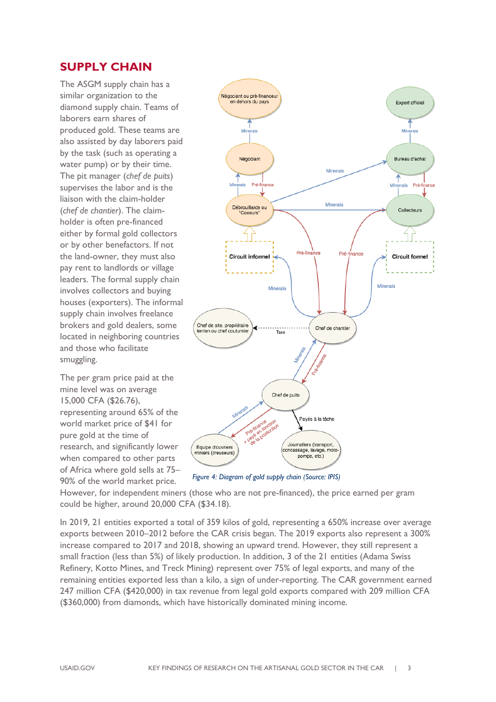### **SUPPLY CHAIN**

The ASGM supply chain has a similar organization to the diamond supply chain. Teams of laborers earn shares of produced gold. These teams are also assisted by day laborers paid by the task (such as operating a water pump) or by their time. The pit manager (*chef de puits*) supervises the labor and is the liaison with the claim-holder (*chef de chantier*). The claimholder is often pre-financed either by formal gold collectors or by other benefactors. If not the land-owner, they must also pay rent to landlords or village leaders. The formal supply chain involves collectors and buying houses (exporters). The informal supply chain involves freelance brokers and gold dealers, some located in neighboring countries and those who facilitate smuggling.

The per gram price paid at the mine level was on average 15,000 CFA (\$26.76), representing around 65% of the world market price of \$41 for pure gold at the time of research, and significantly lower when compared to other parts of Africa where gold sells at 75– 90% of the world market price.



*Figure 4: Diagram of gold supply chain (Source: IPIS)*

However, for independent miners (those who are not pre-financed), the price earned per gram could be higher, around 20,000 CFA (\$34.18).

In 2019, 21 entities exported a total of 359 kilos of gold, representing a 650% increase over average exports between 2010–2012 before the CAR crisis began. The 2019 exports also represent a 300% increase compared to 2017 and 2018, showing an upward trend. However, they still represent a small fraction (less than 5%) of likely production. In addition, 3 of the 21 entities (Adama Swiss Refinery, Kotto Mines, and Treck Mining) represent over 75% of legal exports, and many of the remaining entities exported less than a kilo, a sign of under-reporting. The CAR government earned 247 million CFA (\$420,000) in tax revenue from legal gold exports compared with 209 million CFA (\$360,000) from diamonds, which have historically dominated mining income.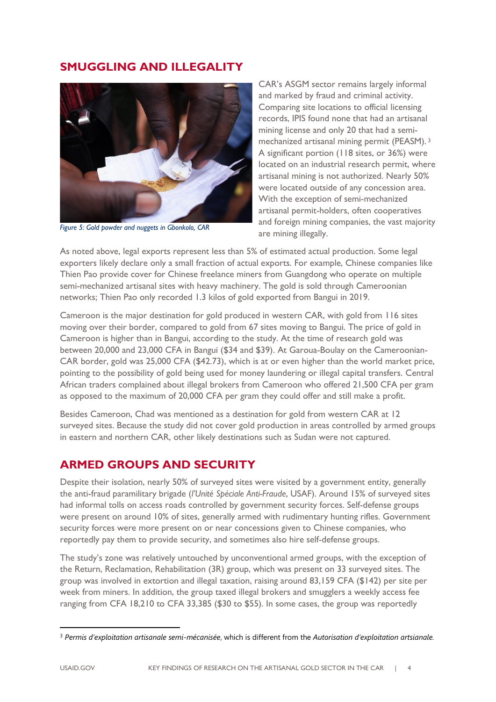#### **SMUGGLING AND ILLEGALITY**



*Figure 5: Gold powder and nuggets in Gbonkolo, CAR*

CAR's ASGM sector remains largely informal and marked by fraud and criminal activity. Comparing site locations to official licensing records, IPIS found none that had an artisanal mining license and only 20 that had a semimechanized artisanal mining permit (PEASM). 3 A significant portion (118 sites, or 36%) were located on an industrial research permit, where artisanal mining is not authorized. Nearly 50% were located outside of any concession area. With the exception of semi-mechanized artisanal permit-holders, often cooperatives and foreign mining companies, the vast majority are mining illegally.

As noted above, legal exports represent less than 5% of estimated actual production. Some legal exporters likely declare only a small fraction of actual exports. For example, Chinese companies like Thien Pao provide cover for Chinese freelance miners from Guangdong who operate on multiple semi-mechanized artisanal sites with heavy machinery. The gold is sold through Cameroonian networks; Thien Pao only recorded 1.3 kilos of gold exported from Bangui in 2019.

Cameroon is the major destination for gold produced in western CAR, with gold from 116 sites moving over their border, compared to gold from 67 sites moving to Bangui. The price of gold in Cameroon is higher than in Bangui, according to the study. At the time of research gold was between 20,000 and 23,000 CFA in Bangui (\$34 and \$39). At Garoua-Boulay on the Cameroonian-CAR border, gold was 25,000 CFA (\$42.73), which is at or even higher than the world market price, pointing to the possibility of gold being used for money laundering or illegal capital transfers. Central African traders complained about illegal brokers from Cameroon who offered 21,500 CFA per gram as opposed to the maximum of 20,000 CFA per gram they could offer and still make a profit.

Besides Cameroon, Chad was mentioned as a destination for gold from western CAR at 12 surveyed sites. Because the study did not cover gold production in areas controlled by armed groups in eastern and northern CAR, other likely destinations such as Sudan were not captured.

## **ARMED GROUPS AND SECURITY**

Despite their isolation, nearly 50% of surveyed sites were visited by a government entity, generally the anti-fraud paramilitary brigade (*l'Unité Spéciale Anti-Fraude*, USAF). Around 15% of surveyed sites had informal tolls on access roads controlled by government security forces. Self-defense groups were present on around 10% of sites, generally armed with rudimentary hunting rifles. Government security forces were more present on or near concessions given to Chinese companies, who reportedly pay them to provide security, and sometimes also hire self-defense groups.

The study's zone was relatively untouched by unconventional armed groups, with the exception of the Return, Reclamation, Rehabilitation (3R) group, which was present on 33 surveyed sites. The group was involved in extortion and illegal taxation, raising around 83,159 CFA (\$142) per site per week from miners. In addition, the group taxed illegal brokers and smugglers a weekly access fee ranging from CFA 18,210 to CFA 33,385 (\$30 to \$55). In some cases, the group was reportedly

<sup>3</sup> *Permis d'exploitation artisanale semi-mécanisée*, which is different from the *Autorisation d'exploitation artsianale.*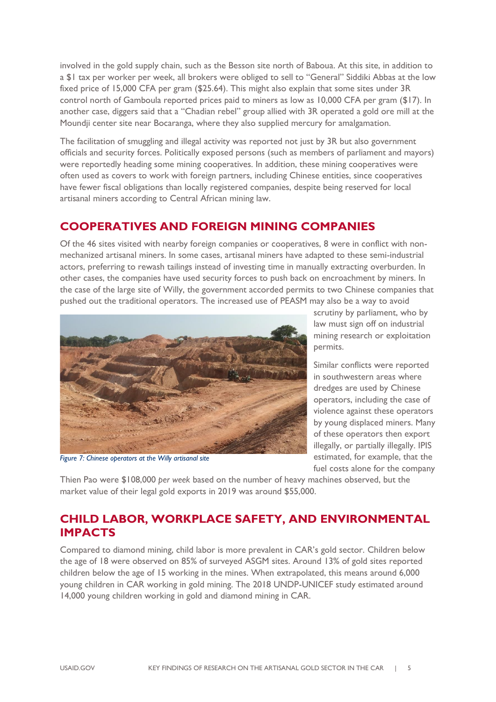involved in the gold supply chain, such as the Besson site north of Baboua. At this site, in addition to a \$1 tax per worker per week, all brokers were obliged to sell to "General" Siddiki Abbas at the low fixed price of 15,000 CFA per gram (\$25.64). This might also explain that some sites under 3R control north of Gamboula reported prices paid to miners as low as 10,000 CFA per gram (\$17). In another case, diggers said that a "Chadian rebel" group allied with 3R operated a gold ore mill at the Moundji center site near Bocaranga, where they also supplied mercury for amalgamation.

The facilitation of smuggling and illegal activity was reported not just by 3R but also government officials and security forces. Politically exposed persons (such as members of parliament and mayors) were reportedly heading some mining cooperatives. In addition, these mining cooperatives were often used as covers to work with foreign partners, including Chinese entities, since cooperatives have fewer fiscal obligations than locally registered companies, despite being reserved for local artisanal miners according to Central African mining law.

#### **COOPERATIVES AND FOREIGN MINING COMPANIES**

Of the 46 sites visited with nearby foreign companies or cooperatives, 8 were in conflict with nonmechanized artisanal miners. In some cases, artisanal miners have adapted to these semi-industrial actors, preferring to rewash tailings instead of investing time in manually extracting overburden. In other cases, the companies have used security forces to push back on encroachment by miners. In the case of the large site of Willy, the government accorded permits to two Chinese companies that pushed out the traditional operators. The increased use of PEASM may also be a way to avoid



*Figure 7: Chinese operators at the Willy artisanal site*

scrutiny by parliament, who by law must sign off on industrial mining research or exploitation permits.

Similar conflicts were reported in southwestern areas where dredges are used by Chinese operators, including the case of violence against these operators by young displaced miners. Many of these operators then export illegally, or partially illegally. IPIS estimated, for example, that the fuel costs alone for the company

Thien Pao were \$108,000 *per week* based on the number of heavy machines observed, but the market value of their legal gold exports in 2019 was around \$55,000.

#### **CHILD LABOR, WORKPLACE SAFETY, AND ENVIRONMENTAL IMPACTS**

Compared to diamond mining, child labor is more prevalent in CAR's gold sector. Children below the age of 18 were observed on 85% of surveyed ASGM sites. Around 13% of gold sites reported children below the age of 15 working in the mines. When extrapolated, this means around 6,000 young children in CAR working in gold mining. The 2018 UNDP-UNICEF study estimated around 14,000 young children working in gold and diamond mining in CAR.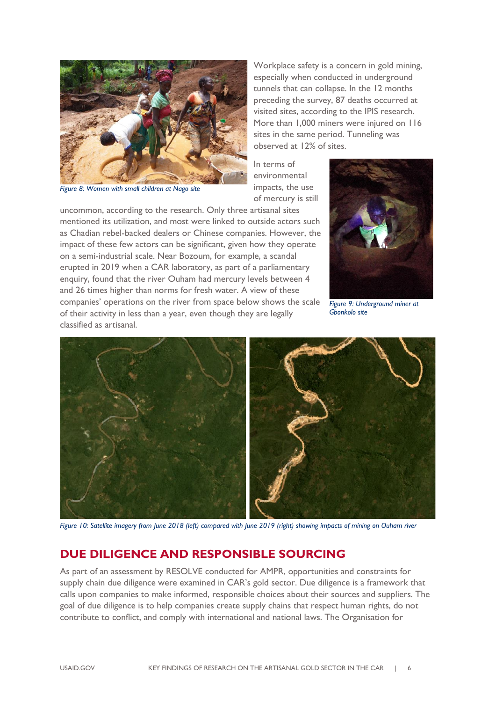

*Figure 8: Women with small children at Nago site*

Workplace safety is a concern in gold mining, especially when conducted in underground tunnels that can collapse. In the 12 months preceding the survey, 87 deaths occurred at visited sites, according to the IPIS research. More than 1,000 miners were injured on 116 sites in the same period. Tunneling was observed at 12% of sites.

In terms of environmental impacts, the use of mercury is still

uncommon, according to the research. Only three artisanal sites mentioned its utilization, and most were linked to outside actors such as Chadian rebel-backed dealers or Chinese companies. However, the impact of these few actors can be significant, given how they operate on a semi-industrial scale. Near Bozoum, for example, a scandal erupted in 2019 when a CAR laboratory, as part of a parliamentary enquiry, found that the river Ouham had mercury levels between 4 and 26 times higher than norms for fresh water. A view of these companies' operations on the river from space below shows the scale of their activity in less than a year, even though they are legally classified as artisanal.



*Figure 9: Underground miner at Gbonkolo site*



*Figure 10: Satellite imagery from June 2018 (left) compared with June 2019 (right) showing impacts of mining on Ouham river*

## **DUE DILIGENCE AND RESPONSIBLE SOURCING**

As part of an assessment by RESOLVE conducted for AMPR, opportunities and constraints for supply chain due diligence were examined in CAR's gold sector. Due diligence is a framework that calls upon companies to make informed, responsible choices about their sources and suppliers. The goal of due diligence is to help companies create supply chains that respect human rights, do not contribute to conflict, and comply with international and national laws. The Organisation for